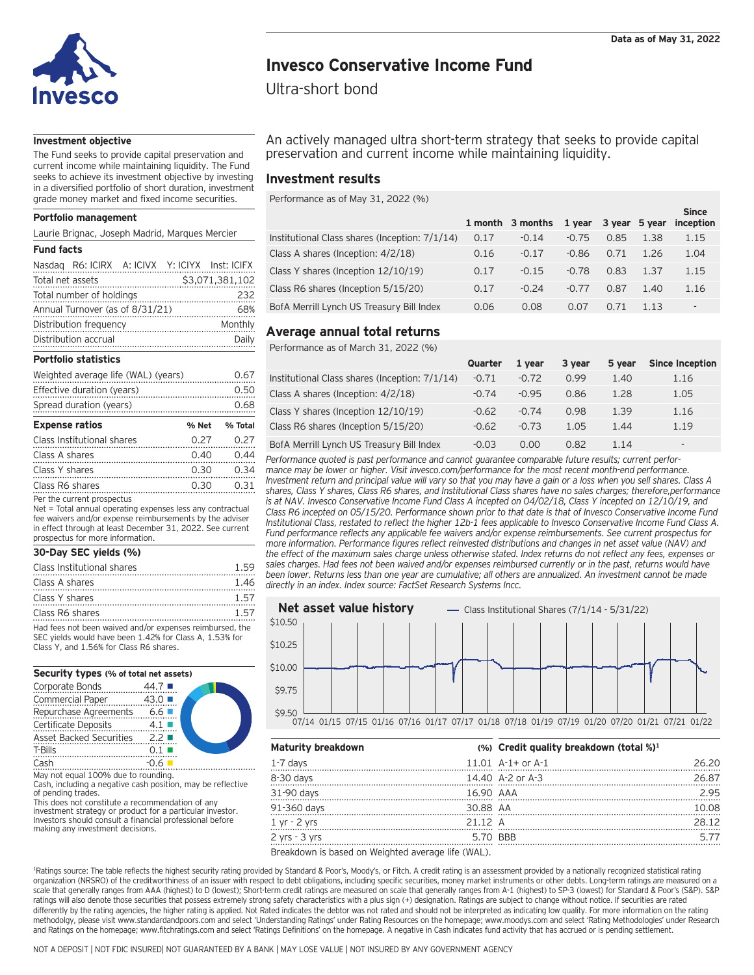

 $S:=-$ 

# **Invesco Conservative Income Fund**

Ultra-short bond

## **Investment objective**

The Fund seeks to provide capital preservation and current income while maintaining liquidity. The Fund seeks to achieve its investment objective by investing in a diversified portfolio of short duration, investment grade money market and fixed income securities.

### **Portfolio management**

### **Fund facts**

| Distribution opening                           | $D = 11.$       |                                           |      |         |         |      |     |      |
|------------------------------------------------|-----------------|-------------------------------------------|------|---------|---------|------|-----|------|
| Distribution frequency                         | Monthly         | Average annual total returns              |      |         |         |      |     |      |
| Annual Turnover (as of 8/31/21)                | 68%             | BofA Merrill Lynch US Treasury Bill Index | 0.06 | 0.08    | 0.07    | 0.71 |     |      |
| Total number of holdings                       | 232             | Class R6 shares (Inception 5/15/20)       | 0.17 | $-0.24$ | $-0.77$ | 0.87 | .40 | 1.16 |
| Total net assets                               | \$3,071,381,102 |                                           |      |         |         |      |     |      |
| Nasdaq R6: ICIRX A: ICIVX Y: ICIYX Inst: ICIFX |                 | Class Y shares (Inception 12/10/19)       | 0.17 | $-0.15$ | $-0.78$ | 0.83 | .37 | 1.15 |
|                                                |                 |                                           |      |         |         |      |     |      |

#### **Portfolio statistics**

| Weighted average life (WAL) (years) |       | 0.67    |
|-------------------------------------|-------|---------|
| Effective duration (years)          |       | 0.50    |
| Spread duration (years)             |       | 0.68    |
| <b>Expense ratios</b>               | % Net | % Total |
| Class Institutional shares          | 0.27  | 0.27    |
| Class A shares                      | 0.40  | 0.44    |
| Class Y shares                      | 0.30  | 0.34    |
| Class R6 shares                     | 0.30  | 0.31    |
| Per the current prospectus          |       |         |

Net = Total annual operating expenses less any contractual fee waivers and/or expense reimbursements by the adviser in effect through at least December 31, 2022. See current prospectus for more information.

#### **30-Day SEC yields (%)**

| Class Institutional shares                                                                                                                                     | 159  |
|----------------------------------------------------------------------------------------------------------------------------------------------------------------|------|
| Class A shares                                                                                                                                                 | 1.46 |
| Class Y shares                                                                                                                                                 | 157  |
| Class R6 shares                                                                                                                                                | 157  |
| Had fees not been waived and/or expenses reimbursed, the<br>SEC yields would have been 1.42% for Class A, 1.53% for<br>Class Y, and 1.56% for Class R6 shares. |      |

#### **Security types (% of total net assets)**

| Corporate Bonds                                                                                                                   | 44.7                 |  |
|-----------------------------------------------------------------------------------------------------------------------------------|----------------------|--|
| <b>Commercial Paper</b>                                                                                                           | 43.0                 |  |
| Repurchase Agreements                                                                                                             | $6.6$ $\blacksquare$ |  |
| Certificate Deposits                                                                                                              | 4.1                  |  |
| <b>Asset Backed Securities</b>                                                                                                    | 2.2                  |  |
| T-Bills                                                                                                                           |                      |  |
| Cash                                                                                                                              | $-0.6$               |  |
| $\mathbf{1}$ $\mathbf{2}$ $\mathbf{3}$ $\mathbf{5}$ $\mathbf{5}$ $\mathbf{6}$ $\mathbf{7}$ $\mathbf{1}$ $\mathbf{1}$ $\mathbf{1}$ |                      |  |

An actively managed ultra short-term strategy that seeks to provide capital preservation and current income while maintaining liquidity.

# **Investment results**

Performance as of May 31, 2022 (%)

| Portfolio management                                        |                                                     |      | 1 month 3 months 1 year 3 year 5 year inception |         |      |      | ------ |
|-------------------------------------------------------------|-----------------------------------------------------|------|-------------------------------------------------|---------|------|------|--------|
| Laurie Brignac, Joseph Madrid, Marques Mercier              | Institutional Class shares (Inception: 7/1/14) 0.17 |      | $-0.14$                                         | $-0.75$ | 0.85 | 1.38 | 1.15   |
| Fund facts                                                  | Class A shares (Inception: 4/2/18)                  | 0.16 | $-0.17$                                         | $-0.86$ | 0.71 | 1.26 | 1.04   |
| Nasdaq R6: ICIRX A: ICIVX Y: ICIYX Inst: ICIFX              | Class Y shares (Inception 12/10/19)                 | 0.17 | $-0.15$                                         | $-0.78$ | 0.83 | 1.37 | 1.15   |
| \$3,071,381,102<br>Total net assets                         | Class R6 shares (Inception 5/15/20)                 | 0.17 | $-0.24$                                         | $-0.77$ | 0.87 | L.40 | 1.16   |
| Total number of holdings<br>Annual Turnover (as of 8/31/21) | BofA Merrill Lynch US Treasury Bill Index           | 0.06 | 0.08                                            | 0.07    | 0.71 | 1.13 |        |

# Distribution accrual **Daily** Daily **Distribution accruate to the contract of the contract of the contract of the contract of the contract of the contract of the contract of the contract of the contract of the contract of t**

Performance as of March 31, 2022 (%)

| PORTIONO STATISTICS                 |                  |                                                      | Quarter | 1 vear  | 3 year | 5 year - | <b>Since Inception</b> |
|-------------------------------------|------------------|------------------------------------------------------|---------|---------|--------|----------|------------------------|
| Weighted average life (WAL) (years) | 0.67             | Institutional Class shares (Inception: 7/1/14) -0.71 |         | $-0.72$ | 0.99   | 1.40     | 1.16                   |
| Effective duration (years)          | 0.50             | Class A shares (Inception: 4/2/18)                   | $-0.74$ | $-0.95$ | 0.86   | 1.28     | 1.05                   |
| Spread duration (years)             | 0.68             | Class Y shares (Inception 12/10/19)                  | $-0.62$ | $-0.74$ | 0.98   | 1.39     | 1.16                   |
| <b>Expense ratios</b>               | % Total<br>% Net | Class R6 shares (Inception 5/15/20)                  | $-0.62$ | $-0.73$ | L.O5   | 1.44     | 1.19                   |
| Class Institutional shares          | 0.27<br>0.27     | BofA Merrill Lynch US Treasury Bill Index            | $-0.03$ |         | 0.82   | 1.14     |                        |

Class A shares 0.40 0.44 *Performance quoted is past performance and cannot guarantee comparable future results; current perfor-*Class Y shares 0.30 0.34 *mance may be lower or higher. Visit invesco.com/performance for the most recent month-end performance.* Class R6 shares 0.30 0.31 *shares, Class Y shares, Class R6 shares, and Institutional Class shares have no sales charges; therefore,performance*  Class Institutional shares 1.59 *sales charges. Had fees not been waived and/or expenses reimbursed currently or in the past, returns would have Investment return and principal value will vary so that you may have a gain or a loss when you sell shares. Class A*  is at NAV. Invesco Conservative Income Fund Class A incepted on 04/02/18, Class Y incepted on 12/10/19, and *Class R6 incepted on 05/15/20. Performance shown prior to that date is that of Invesco Conservative Income Fund Institutional Class, restated to reflect the higher 12b-1 fees applicable to Invesco Conservative Income Fund Class A. Fund performance reflects any applicable fee waivers and/or expense reimbursements. See current prospectus for more information. Performance figures reflect reinvested distributions and changes in net asset value (NAV) and the effect of the maximum sales charge unless otherwise stated. Index returns do not reflect any fees, expenses or*  been lower. Returns less than one year are cumulative; all others are annualized. An investment cannot be made *directly in an index. Index source: FactSet Research Systems Incc.*



| Asset Backed Securities          | $2.2 \blacksquare$                                                                                            |                           |                                             |       |
|----------------------------------|---------------------------------------------------------------------------------------------------------------|---------------------------|---------------------------------------------|-------|
| T-Bills                          |                                                                                                               | <b>Maturity breakdown</b> | $(%)$ Credit quality breakdown (total $%)1$ |       |
| Cash                             |                                                                                                               | L-7 davs                  | 11.01 $A-1+$ or $A-1$                       | 26.20 |
|                                  | May not equal 100% due to rounding.<br>Cash, including a negative cash position, may be reflective            | 8-30 days                 | 14.40 A-2 or A-3                            | 26.87 |
| of pending trades.               |                                                                                                               | 31-90 days                | 16.90 AAA                                   | 2.95  |
|                                  | This does not constitute a recommendation of any<br>investment strategy or product for a particular investor. | 91-360 days               | 30.88 AA                                    | 10.08 |
| making any investment decisions. | Investors should consult a financial professional before                                                      | 1 vr - 2 vrs              | 21.12 A                                     | 28.12 |
|                                  |                                                                                                               | 2 vrs - 3 vrs             | 5.70 BBB                                    |       |
|                                  |                                                                                                               | $D_{real}$                |                                             |       |

Breakdown is based on Weighted average life (WAL).

<sup>1</sup>Ratings source: The table reflects the highest security rating provided by Standard & Poor's, Moody's, or Fitch. A credit rating is an assessment provided by a nationally recognized statistical rating organization (NRSRO) of the creditworthiness of an issuer with respect to debt obligations, including specific securities, money market instruments or other debts. Long-term ratings are measured on a scale that generally ranges from AAA (highest) to D (lowest); Short-term credit ratings are measured on scale that generally ranges from A-1 (highest) to SP-3 (lowest) for Standard & Poor's (S&P). S&P ratings will also denote those securities that possess extremely strong safety characteristics with a plus sign (+) designation. Ratings are subject to change without notice. If securities are rated differently by the rating agencies, the higher rating is applied. Not Rated indicates the debtor was not rated and should not be interpreted as indicating low quality. For more information on the rating methodolgy, please visit www.standardandpoors.com and select 'Understanding Ratings' under Rating Resources on the homepage; www.moodys.com and select 'Rating Methodologies' under Research and Ratings on the homepage; www.fitchratings.com and select 'Ratings Definitions' on the homepage. A negative in Cash indicates fund activity that has accrued or is pending settlement.